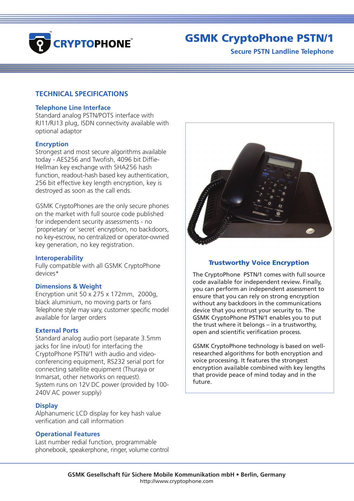

# GSMK CryptoPhone PSTN/1

**Secure PSTN Landline Telephone**

# **TECHNICAL SPECIFICATIONS**

# **Telephone Line Interface**

Standard analog PSTN/POTS interface with RJ11/RJ13 plug, ISDN connectivity available with optional adaptor

# **Encryption**

Strongest and most secure algorithms available today - AES256 and Twofish, 4096 bit Diffie-Hellman key exchange with SHA256 hash function, readout-hash based key authentication, 256 bit effective key length encryption, key is destroyed as soon as the call ends.

GSMK CryptoPhones are the only secure phones on the market with full source code published for independent security assessments - no `proprietary´ or `secret´ encryption, no backdoors, no key-escrow, no centralized or operator-owned key generation, no key registration.

## **Interoperability**

Fully compatible with all GSMK CryptoPhone devices\*

## **Dimensions & Weight**

Encryption unit 50 x 275 x 172mm, 2000g, black aluminium, no moving parts or fans Telephone style may vary, customer specific model available for larger orders

## **External Ports**

Standard analog audio port (separate 3.5mm jacks for line in/out) for interfacing the CryptoPhone PSTN/1 with audio and videoconferencing equipment, RS232 serial port for connecting satellite equipment (Thuraya or Inmarsat, other networks on request). System runs on 12V DC power (provided by 100- 240V AC power supply)

## **Display**

Alphanumeric LCD display for key hash value verification and call information

# **Operational Features**

Last number redial function, programmable phonebook, speakerphone, ringer, volume control



# Trustworthy Voice Encryption

The CryptoPhone PSTN/1 comes with full source code available for independent review. Finally, you can perform an independent assessment to ensure that you can rely on strong encryption without any backdoors in the communications device that you entrust your security to. The GSMK CryptoPhone PSTN/1 enables you to put the trust where it belongs – in a trustworthy, open and scientific verification process.

GSMK CryptoPhone technology is based on wellresearched algorithms for both encryption and voice processing. It features the strongest encryption available combined with key lengths that provide peace of mind today and in the future.